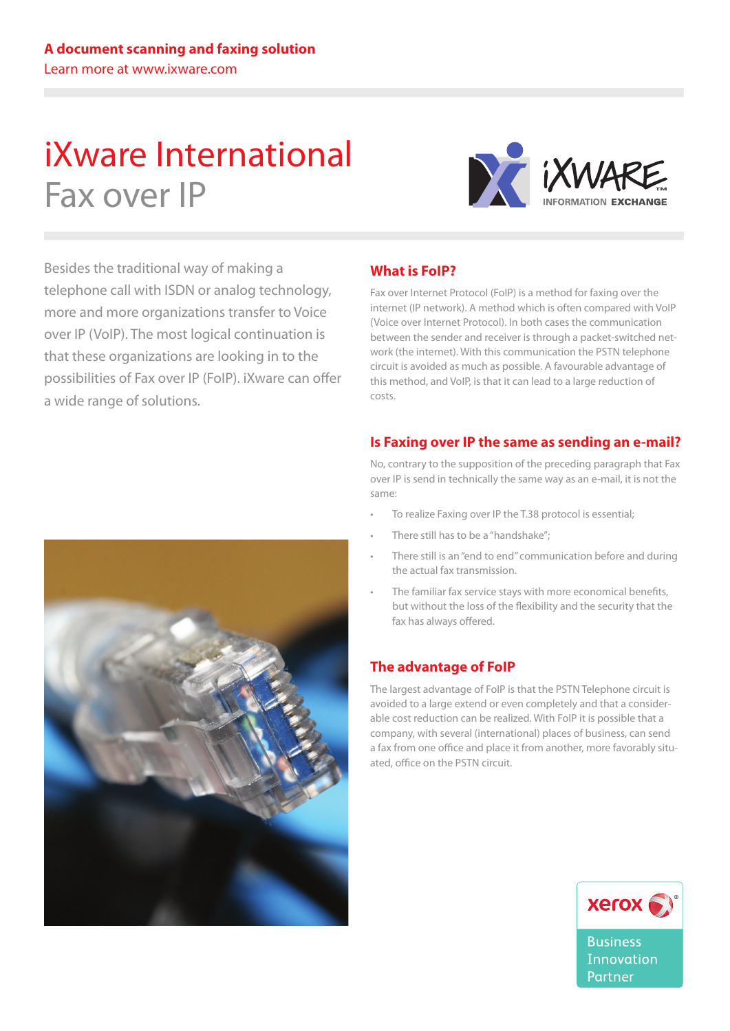# iXware International Fax over IP



Besides the traditional way of making a telephone call with ISDN or analog technology, more and more organizations transfer to Voice over IP (VoIP). The most logical continuation is that these organizations are looking in to the possibilities of Fax over IP (FoIP). iXware can offer a wide range of solutions.

# **What is FoIP?**

Fax over Internet Protocol (FoIP) is a method for faxing over the internet (IP network). A method which is often compared with VoIP (Voice over Internet Protocol). In both cases the communication between the sender and receiver is through a packet-switched network (the internet). With this communication the PSTN telephone circuit is avoided as much as possible. A favourable advantage of this method, and VoIP, is that it can lead to a large reduction of costs.

## **Is Faxing over IP the same as sending an e-mail?**

No, contrary to the supposition of the preceding paragraph that Fax over IP is send in technically the same way as an e-mail, it is not the same:

- To realize Faxing over IP the T.38 protocol is essential;
- There still has to be a "handshake";
- There still is an "end to end" communication before and during the actual fax transmission.
- The familiar fax service stays with more economical benefits, but without the loss of the flexibility and the security that the fax has always offered.

# **The advantage of FoIP**

The largest advantage of FoIP is that the PSTN Telephone circuit is avoided to a large extend or even completely and that a considerable cost reduction can be realized. With FoIP it is possible that a company, with several (international) places of business, can send a fax from one office and place it from another, more favorably situated, office on the PSTN circuit.



**Business Innovation** Partner